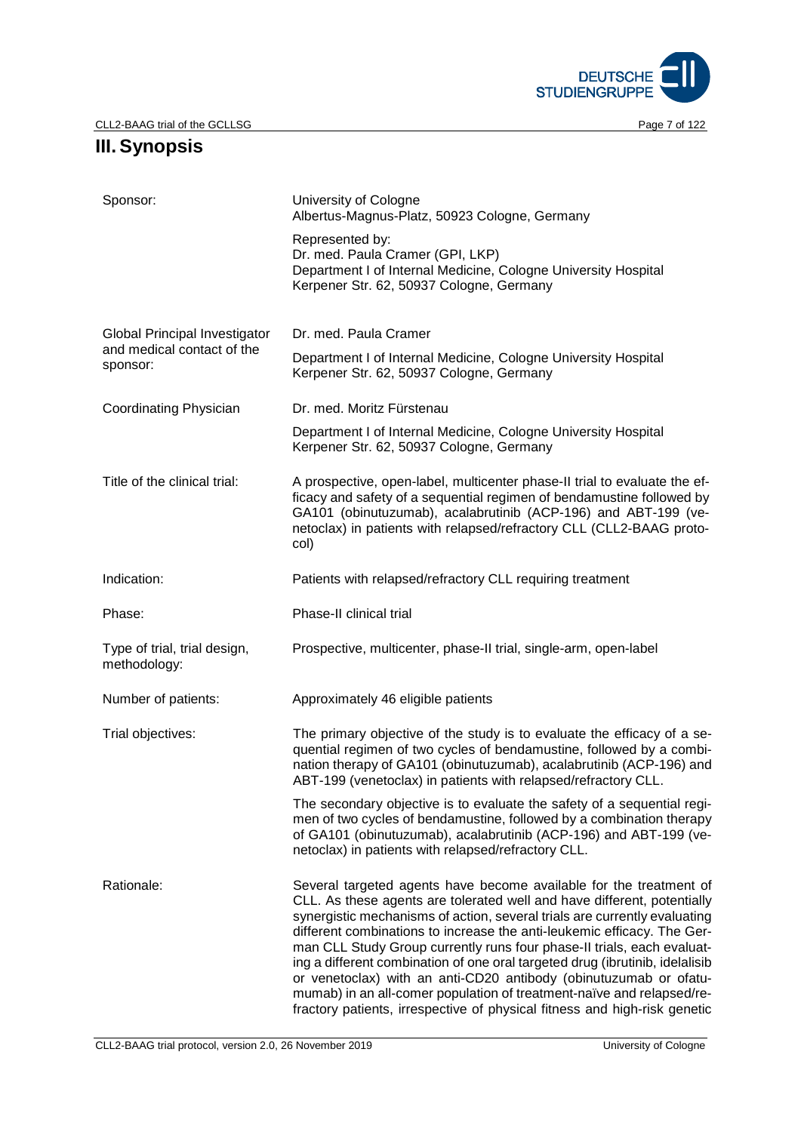

# **III.Synopsis**

| Sponsor:                                     | University of Cologne<br>Albertus-Magnus-Platz, 50923 Cologne, Germany                                                                                                                                                                                                                                                                                                                                                                                                                                                                                                                                                                                                                     |  |  |
|----------------------------------------------|--------------------------------------------------------------------------------------------------------------------------------------------------------------------------------------------------------------------------------------------------------------------------------------------------------------------------------------------------------------------------------------------------------------------------------------------------------------------------------------------------------------------------------------------------------------------------------------------------------------------------------------------------------------------------------------------|--|--|
|                                              | Represented by:<br>Dr. med. Paula Cramer (GPI, LKP)<br>Department I of Internal Medicine, Cologne University Hospital<br>Kerpener Str. 62, 50937 Cologne, Germany                                                                                                                                                                                                                                                                                                                                                                                                                                                                                                                          |  |  |
| Global Principal Investigator                | Dr. med. Paula Cramer                                                                                                                                                                                                                                                                                                                                                                                                                                                                                                                                                                                                                                                                      |  |  |
| and medical contact of the<br>sponsor:       | Department I of Internal Medicine, Cologne University Hospital<br>Kerpener Str. 62, 50937 Cologne, Germany                                                                                                                                                                                                                                                                                                                                                                                                                                                                                                                                                                                 |  |  |
| Coordinating Physician                       | Dr. med. Moritz Fürstenau                                                                                                                                                                                                                                                                                                                                                                                                                                                                                                                                                                                                                                                                  |  |  |
|                                              | Department I of Internal Medicine, Cologne University Hospital<br>Kerpener Str. 62, 50937 Cologne, Germany                                                                                                                                                                                                                                                                                                                                                                                                                                                                                                                                                                                 |  |  |
| Title of the clinical trial:                 | A prospective, open-label, multicenter phase-II trial to evaluate the ef-<br>ficacy and safety of a sequential regimen of bendamustine followed by<br>GA101 (obinutuzumab), acalabrutinib (ACP-196) and ABT-199 (ve-<br>netoclax) in patients with relapsed/refractory CLL (CLL2-BAAG proto-<br>col)                                                                                                                                                                                                                                                                                                                                                                                       |  |  |
| Indication:                                  | Patients with relapsed/refractory CLL requiring treatment                                                                                                                                                                                                                                                                                                                                                                                                                                                                                                                                                                                                                                  |  |  |
| Phase:                                       | Phase-II clinical trial                                                                                                                                                                                                                                                                                                                                                                                                                                                                                                                                                                                                                                                                    |  |  |
| Type of trial, trial design,<br>methodology: | Prospective, multicenter, phase-II trial, single-arm, open-label                                                                                                                                                                                                                                                                                                                                                                                                                                                                                                                                                                                                                           |  |  |
| Number of patients:                          | Approximately 46 eligible patients                                                                                                                                                                                                                                                                                                                                                                                                                                                                                                                                                                                                                                                         |  |  |
| Trial objectives:                            | The primary objective of the study is to evaluate the efficacy of a se-<br>quential regimen of two cycles of bendamustine, followed by a combi-<br>nation therapy of GA101 (obinutuzumab), acalabrutinib (ACP-196) and<br>ABT-199 (venetoclax) in patients with relapsed/refractory CLL.                                                                                                                                                                                                                                                                                                                                                                                                   |  |  |
|                                              | The secondary objective is to evaluate the safety of a sequential regi-<br>men of two cycles of bendamustine, followed by a combination therapy<br>of GA101 (obinutuzumab), acalabrutinib (ACP-196) and ABT-199 (ve-<br>netoclax) in patients with relapsed/refractory CLL.                                                                                                                                                                                                                                                                                                                                                                                                                |  |  |
| Rationale:                                   | Several targeted agents have become available for the treatment of<br>CLL. As these agents are tolerated well and have different, potentially<br>synergistic mechanisms of action, several trials are currently evaluating<br>different combinations to increase the anti-leukemic efficacy. The Ger-<br>man CLL Study Group currently runs four phase-II trials, each evaluat-<br>ing a different combination of one oral targeted drug (ibrutinib, idelalisib<br>or venetoclax) with an anti-CD20 antibody (obinutuzumab or ofatu-<br>mumab) in an all-comer population of treatment-naïve and relapsed/re-<br>fractory patients, irrespective of physical fitness and high-risk genetic |  |  |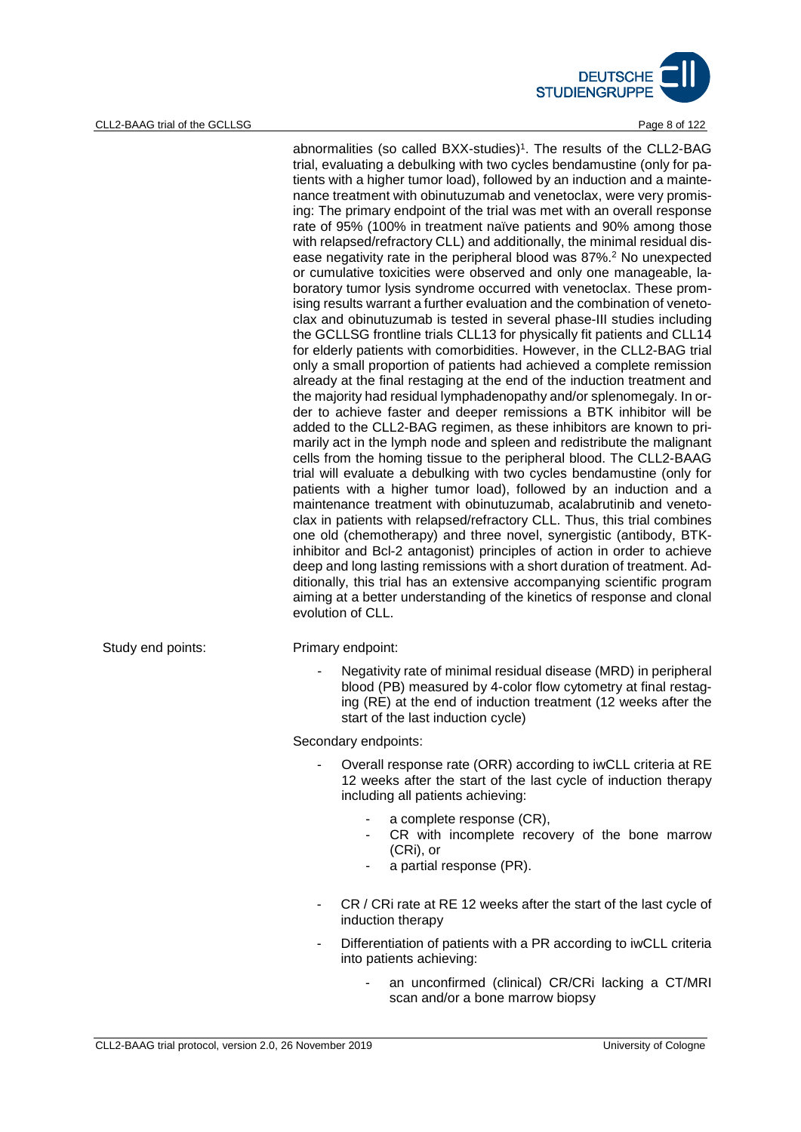

#### CLL2-BAAG trial of the GCLLSG **Page 8 of 122**

abnormalities (so called BXX-studies)<sup>1</sup>. The results of the CLL2-BAG trial, evaluating a debulking with two cycles bendamustine (only for patients with a higher tumor load), followed by an induction and a maintenance treatment with obinutuzumab and venetoclax, were very promising: The primary endpoint of the trial was met with an overall response rate of 95% (100% in treatment naïve patients and 90% among those with relapsed/refractory CLL) and additionally, the minimal residual disease negativity rate in the peripheral blood was 87%.2 No unexpected or cumulative toxicities were observed and only one manageable, laboratory tumor lysis syndrome occurred with venetoclax. These promising results warrant a further evaluation and the combination of venetoclax and obinutuzumab is tested in several phase-III studies including the GCLLSG frontline trials CLL13 for physically fit patients and CLL14 for elderly patients with comorbidities. However, in the CLL2-BAG trial only a small proportion of patients had achieved a complete remission already at the final restaging at the end of the induction treatment and the majority had residual lymphadenopathy and/or splenomegaly. In order to achieve faster and deeper remissions a BTK inhibitor will be added to the CLL2-BAG regimen, as these inhibitors are known to primarily act in the lymph node and spleen and redistribute the malignant cells from the homing tissue to the peripheral blood. The CLL2-BAAG trial will evaluate a debulking with two cycles bendamustine (only for patients with a higher tumor load), followed by an induction and a maintenance treatment with obinutuzumab, acalabrutinib and venetoclax in patients with relapsed/refractory CLL. Thus, this trial combines one old (chemotherapy) and three novel, synergistic (antibody, BTKinhibitor and Bcl-2 antagonist) principles of action in order to achieve deep and long lasting remissions with a short duration of treatment. Additionally, this trial has an extensive accompanying scientific program aiming at a better understanding of the kinetics of response and clonal evolution of CLL.

Study end points: Primary endpoint:

Negativity rate of minimal residual disease (MRD) in peripheral blood (PB) measured by 4-color flow cytometry at final restaging (RE) at the end of induction treatment (12 weeks after the start of the last induction cycle)

Secondary endpoints:

- Overall response rate (ORR) according to iwCLL criteria at RE 12 weeks after the start of the last cycle of induction therapy including all patients achieving:
	- a complete response (CR).
	- CR with incomplete recovery of the bone marrow (CRi), or
	- a partial response (PR).
- CR / CRi rate at RE 12 weeks after the start of the last cycle of induction therapy
- Differentiation of patients with a PR according to iwCLL criteria into patients achieving:
	- an unconfirmed (clinical) CR/CRi lacking a CT/MRI scan and/or a bone marrow biopsy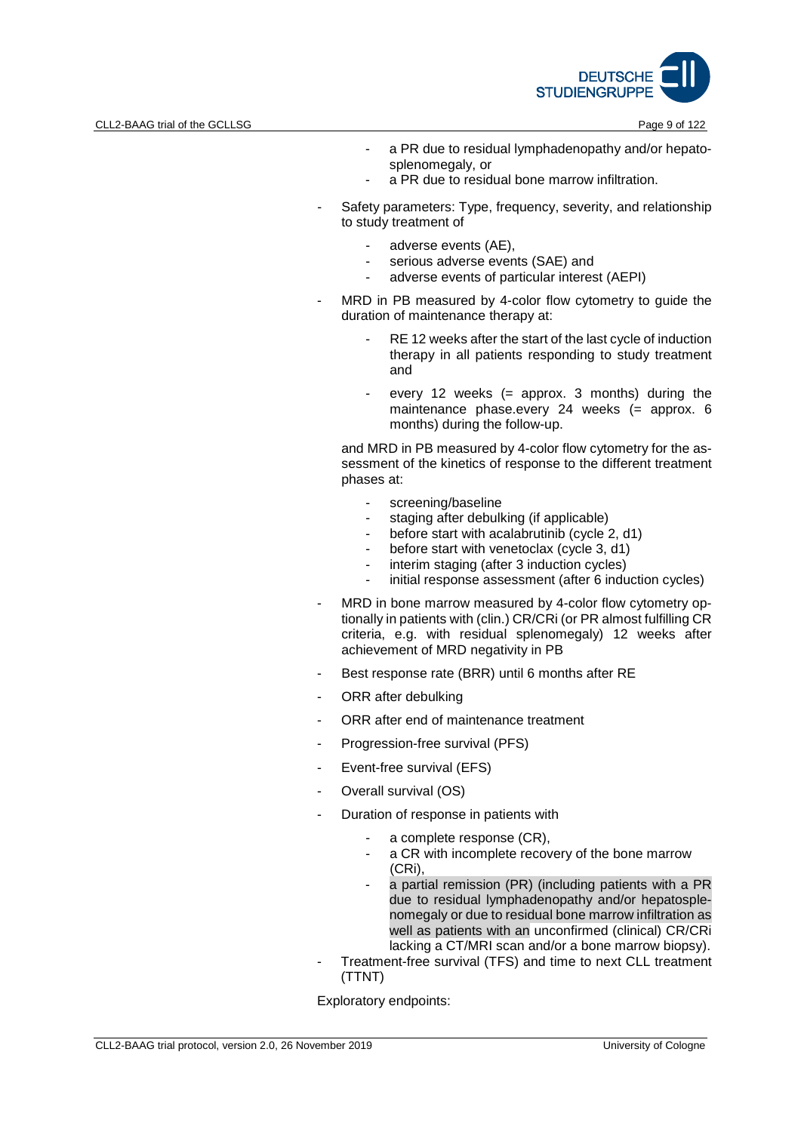

- a PR due to residual lymphadenopathy and/or hepatosplenomegaly, or
- a PR due to residual bone marrow infiltration.
- Safety parameters: Type, frequency, severity, and relationship to study treatment of
	- adverse events (AE),
	- serious adverse events (SAE) and
	- adverse events of particular interest (AEPI)
- MRD in PB measured by 4-color flow cytometry to guide the duration of maintenance therapy at:
	- RE 12 weeks after the start of the last cycle of induction therapy in all patients responding to study treatment and
	- every 12 weeks (= approx. 3 months) during the maintenance phase.every 24 weeks (= approx. 6 months) during the follow-up.

and MRD in PB measured by 4-color flow cytometry for the assessment of the kinetics of response to the different treatment phases at:

- screening/baseline
- staging after debulking (if applicable)
- before start with acalabrutinib (cycle 2, d1)
- before start with venetoclax (cycle 3, d1)
- interim staging (after 3 induction cycles)
- initial response assessment (after 6 induction cycles)
- MRD in bone marrow measured by 4-color flow cytometry optionally in patients with (clin.) CR/CRi (or PR almost fulfilling CR criteria, e.g. with residual splenomegaly) 12 weeks after achievement of MRD negativity in PB
- Best response rate (BRR) until 6 months after RE
- ORR after debulking
- ORR after end of maintenance treatment
- Progression-free survival (PFS)
- Event-free survival (EFS)
- Overall survival (OS)
- Duration of response in patients with
	- a complete response (CR),
	- a CR with incomplete recovery of the bone marrow (CRi),
	- a partial remission (PR) (including patients with a PR due to residual lymphadenopathy and/or hepatosplenomegaly or due to residual bone marrow infiltration as well as patients with an unconfirmed (clinical) CR/CRi lacking a CT/MRI scan and/or a bone marrow biopsy).
- Treatment-free survival (TFS) and time to next CLL treatment (TTNT)

Exploratory endpoints: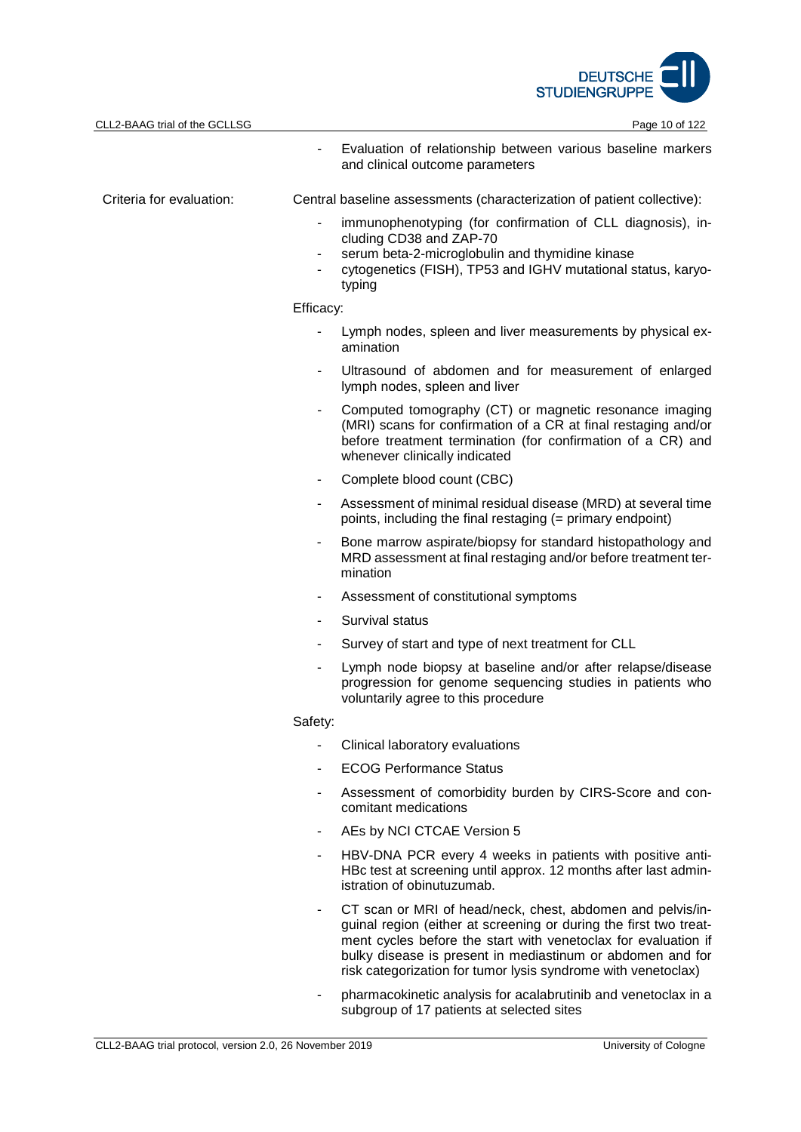

| CLL2-BAAG trial of the GCLLSG |                                    | Page 10 of 122                                                                                                                                                                                                                                                                                                                   |
|-------------------------------|------------------------------------|----------------------------------------------------------------------------------------------------------------------------------------------------------------------------------------------------------------------------------------------------------------------------------------------------------------------------------|
|                               |                                    | Evaluation of relationship between various baseline markers<br>and clinical outcome parameters                                                                                                                                                                                                                                   |
| Criteria for evaluation:      |                                    | Central baseline assessments (characterization of patient collective):                                                                                                                                                                                                                                                           |
|                               | $\blacksquare$<br>$\sim$<br>$\sim$ | immunophenotyping (for confirmation of CLL diagnosis), in-<br>cluding CD38 and ZAP-70<br>serum beta-2-microglobulin and thymidine kinase<br>cytogenetics (FISH), TP53 and IGHV mutational status, karyo-<br>typing                                                                                                               |
|                               | Efficacy:                          |                                                                                                                                                                                                                                                                                                                                  |
|                               | $\blacksquare$                     | Lymph nodes, spleen and liver measurements by physical ex-<br>amination                                                                                                                                                                                                                                                          |
|                               |                                    | Ultrasound of abdomen and for measurement of enlarged<br>lymph nodes, spleen and liver                                                                                                                                                                                                                                           |
|                               |                                    | Computed tomography (CT) or magnetic resonance imaging<br>(MRI) scans for confirmation of a CR at final restaging and/or<br>before treatment termination (for confirmation of a CR) and<br>whenever clinically indicated                                                                                                         |
|                               | $\blacksquare$                     | Complete blood count (CBC)                                                                                                                                                                                                                                                                                                       |
|                               | $\blacksquare$                     | Assessment of minimal residual disease (MRD) at several time<br>points, including the final restaging (= primary endpoint)                                                                                                                                                                                                       |
|                               | ٠                                  | Bone marrow aspirate/biopsy for standard histopathology and<br>MRD assessment at final restaging and/or before treatment ter-<br>mination                                                                                                                                                                                        |
|                               | ٠                                  | Assessment of constitutional symptoms                                                                                                                                                                                                                                                                                            |
|                               | $\blacksquare$                     | Survival status                                                                                                                                                                                                                                                                                                                  |
|                               |                                    | Survey of start and type of next treatment for CLL                                                                                                                                                                                                                                                                               |
|                               | $\blacksquare$                     | Lymph node biopsy at baseline and/or after relapse/disease<br>progression for genome sequencing studies in patients who<br>voluntarily agree to this procedure                                                                                                                                                                   |
|                               | Safety:                            |                                                                                                                                                                                                                                                                                                                                  |
|                               | ٠                                  | Clinical laboratory evaluations                                                                                                                                                                                                                                                                                                  |
|                               | ۰                                  | <b>ECOG Performance Status</b>                                                                                                                                                                                                                                                                                                   |
|                               | $\blacksquare$                     | Assessment of comorbidity burden by CIRS-Score and con-<br>comitant medications                                                                                                                                                                                                                                                  |
|                               | $\blacksquare$                     | AEs by NCI CTCAE Version 5                                                                                                                                                                                                                                                                                                       |
|                               |                                    | HBV-DNA PCR every 4 weeks in patients with positive anti-<br>HBc test at screening until approx. 12 months after last admin-<br>istration of obinutuzumab.                                                                                                                                                                       |
|                               |                                    | CT scan or MRI of head/neck, chest, abdomen and pelvis/in-<br>guinal region (either at screening or during the first two treat-<br>ment cycles before the start with venetoclax for evaluation if<br>bulky disease is present in mediastinum or abdomen and for<br>risk categorization for tumor lysis syndrome with venetoclax) |

- pharmacokinetic analysis for acalabrutinib and venetoclax in a subgroup of 17 patients at selected sites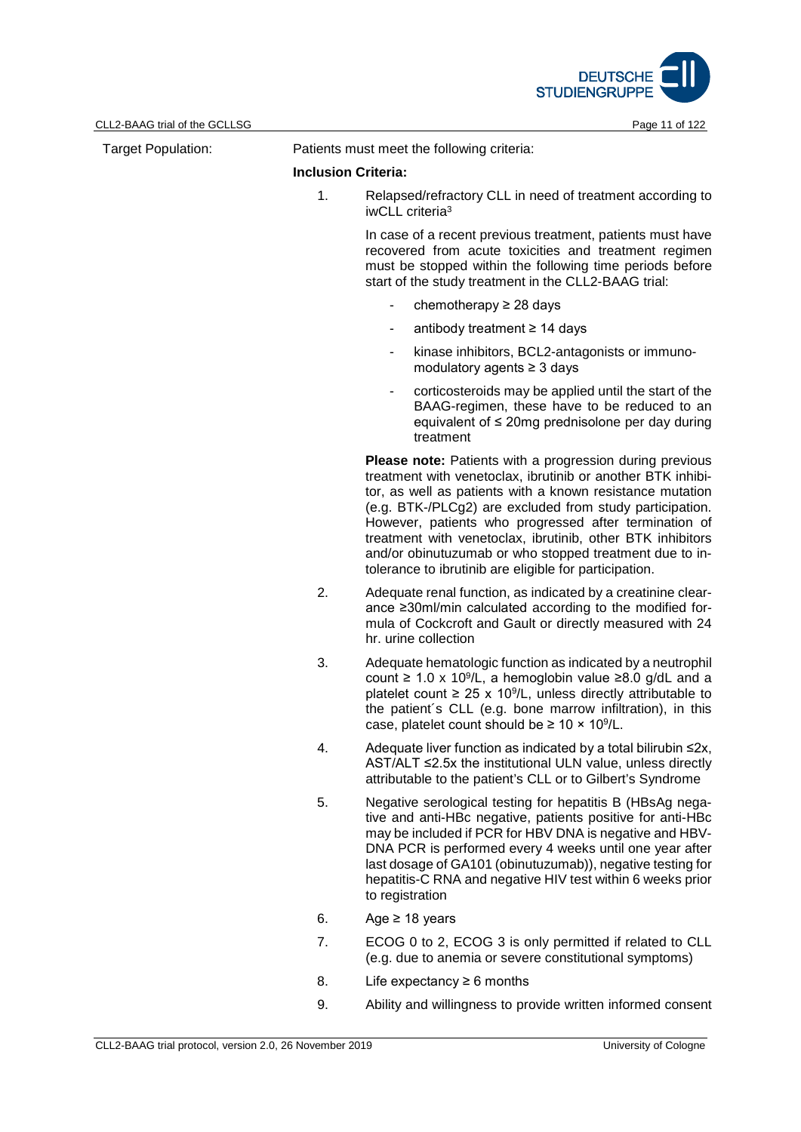

| <b>Target Population:</b> | Patients must meet the following criteria: |                                                                                                                                                                                                                                                                                                                                                                                                                                                                                                     |  |
|---------------------------|--------------------------------------------|-----------------------------------------------------------------------------------------------------------------------------------------------------------------------------------------------------------------------------------------------------------------------------------------------------------------------------------------------------------------------------------------------------------------------------------------------------------------------------------------------------|--|
|                           | <b>Inclusion Criteria:</b>                 |                                                                                                                                                                                                                                                                                                                                                                                                                                                                                                     |  |
|                           | 1.                                         | Relapsed/refractory CLL in need of treatment according to<br>iwCLL criteria <sup>3</sup>                                                                                                                                                                                                                                                                                                                                                                                                            |  |
|                           |                                            | In case of a recent previous treatment, patients must have<br>recovered from acute toxicities and treatment regimen<br>must be stopped within the following time periods before<br>start of the study treatment in the CLL2-BAAG trial:                                                                                                                                                                                                                                                             |  |
|                           |                                            | chemotherapy $\geq$ 28 days<br>$\qquad \qquad \blacksquare$                                                                                                                                                                                                                                                                                                                                                                                                                                         |  |
|                           |                                            | antibody treatment ≥ 14 days<br>۰                                                                                                                                                                                                                                                                                                                                                                                                                                                                   |  |
|                           |                                            | kinase inhibitors, BCL2-antagonists or immuno-<br>$\qquad \qquad \blacksquare$<br>modulatory agents $\geq 3$ days                                                                                                                                                                                                                                                                                                                                                                                   |  |
|                           |                                            | corticosteroids may be applied until the start of the<br>٠<br>BAAG-regimen, these have to be reduced to an<br>equivalent of $\leq$ 20mg prednisolone per day during<br>treatment                                                                                                                                                                                                                                                                                                                    |  |
|                           |                                            | <b>Please note:</b> Patients with a progression during previous<br>treatment with venetoclax, ibrutinib or another BTK inhibi-<br>tor, as well as patients with a known resistance mutation<br>(e.g. BTK-/PLCg2) are excluded from study participation.<br>However, patients who progressed after termination of<br>treatment with venetoclax, ibrutinib, other BTK inhibitors<br>and/or obinutuzumab or who stopped treatment due to in-<br>tolerance to ibrutinib are eligible for participation. |  |
|                           | 2.                                         | Adequate renal function, as indicated by a creatinine clear-<br>ance ≥30ml/min calculated according to the modified for-<br>mula of Cockcroft and Gault or directly measured with 24<br>hr. urine collection                                                                                                                                                                                                                                                                                        |  |
|                           | 3.                                         | Adequate hematologic function as indicated by a neutrophil<br>count $\geq 1.0 \times 10^9$ /L, a hemoglobin value $\geq 8.0$ g/dL and a<br>platelet count $\geq 25 \times 10^9$ /L, unless directly attributable to<br>the patient's CLL (e.g. bone marrow infiltration), in this<br>case, platelet count should be $\geq 10 \times 10^9$ /L.                                                                                                                                                       |  |
|                           | 4.                                         | Adequate liver function as indicated by a total bilirubin ≤2x,<br>AST/ALT ≤2.5x the institutional ULN value, unless directly<br>attributable to the patient's CLL or to Gilbert's Syndrome                                                                                                                                                                                                                                                                                                          |  |
|                           | 5.                                         | Negative serological testing for hepatitis B (HBsAg nega-<br>tive and anti-HBc negative, patients positive for anti-HBc<br>may be included if PCR for HBV DNA is negative and HBV-<br>DNA PCR is performed every 4 weeks until one year after<br>last dosage of GA101 (obinutuzumab)), negative testing for<br>hepatitis-C RNA and negative HIV test within 6 weeks prior<br>to registration                                                                                                        |  |
|                           | 6.                                         | Age $\geq$ 18 years                                                                                                                                                                                                                                                                                                                                                                                                                                                                                 |  |
|                           | 7.                                         | ECOG 0 to 2, ECOG 3 is only permitted if related to CLL<br>(e.g. due to anemia or severe constitutional symptoms)                                                                                                                                                                                                                                                                                                                                                                                   |  |
|                           | 8.                                         | Life expectancy $\geq 6$ months                                                                                                                                                                                                                                                                                                                                                                                                                                                                     |  |

9. Ability and willingness to provide written informed consent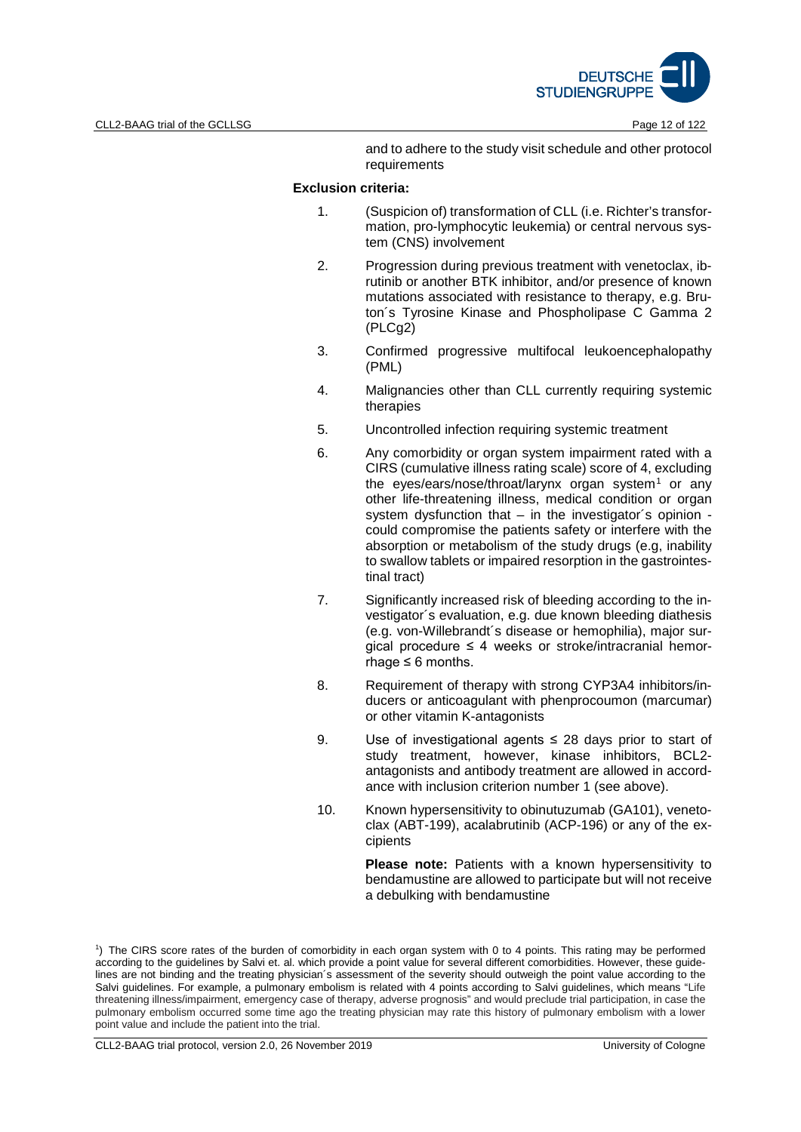

and to adhere to the study visit schedule and other protocol requirements

#### **Exclusion criteria:**

- 1. (Suspicion of) transformation of CLL (i.e. Richter's transformation, pro-lymphocytic leukemia) or central nervous system (CNS) involvement
- 2. Progression during previous treatment with venetoclax, ibrutinib or another BTK inhibitor, and/or presence of known mutations associated with resistance to therapy, e.g. Bruton´s Tyrosine Kinase and Phospholipase C Gamma 2 (PLCg2)
- 3. Confirmed progressive multifocal leukoencephalopathy (PML)
- 4. Malignancies other than CLL currently requiring systemic therapies
- 5. Uncontrolled infection requiring systemic treatment
- 6. Any comorbidity or organ system impairment rated with a CIRS (cumulative illness rating scale) score of 4, excluding the eyes/ears/nose/throat/larynx organ system<sup>[1](#page-5-0)</sup> or any other life-threatening illness, medical condition or organ system dysfunction that – in the investigator´s opinion could compromise the patients safety or interfere with the absorption or metabolism of the study drugs (e.g, inability to swallow tablets or impaired resorption in the gastrointestinal tract)
- 7. Significantly increased risk of bleeding according to the investigator´s evaluation, e.g. due known bleeding diathesis (e.g. von-Willebrandt´s disease or hemophilia), major surgical procedure  $\leq$  4 weeks or stroke/intracranial hemorrhage  $\leq 6$  months.
- 8. Requirement of therapy with strong CYP3A4 inhibitors/inducers or anticoagulant with phenprocoumon (marcumar) or other vitamin K-antagonists
- 9. Use of investigational agents ≤ 28 days prior to start of study treatment, however, kinase inhibitors, BCL2 antagonists and antibody treatment are allowed in accordance with inclusion criterion number 1 (see above).
- 10. Known hypersensitivity to obinutuzumab (GA101), venetoclax (ABT-199), acalabrutinib (ACP-196) or any of the excipients

Please note: Patients with a known hypersensitivity to bendamustine are allowed to participate but will not receive a debulking with bendamustine

<span id="page-5-0"></span>1 ) The CIRS score rates of the burden of comorbidity in each organ system with 0 to 4 points. This rating may be performed according to the guidelines by Salvi et. al. which provide a point value for several different comorbidities. However, these guidelines are not binding and the treating physician's assessment of the severity should outweigh the point value according to the Salvi guidelines. For example, a pulmonary embolism is related with 4 points according to Salvi guidelines, which means "Life threatening illness/impairment, emergency case of therapy, adverse prognosis" and would preclude trial participation, in case the pulmonary embolism occurred some time ago the treating physician may rate this history of pulmonary embolism with a lower point value and include the patient into the trial.

CLL2-BAAG trial protocol, version 2.0, 26 November 2019 University of Cologne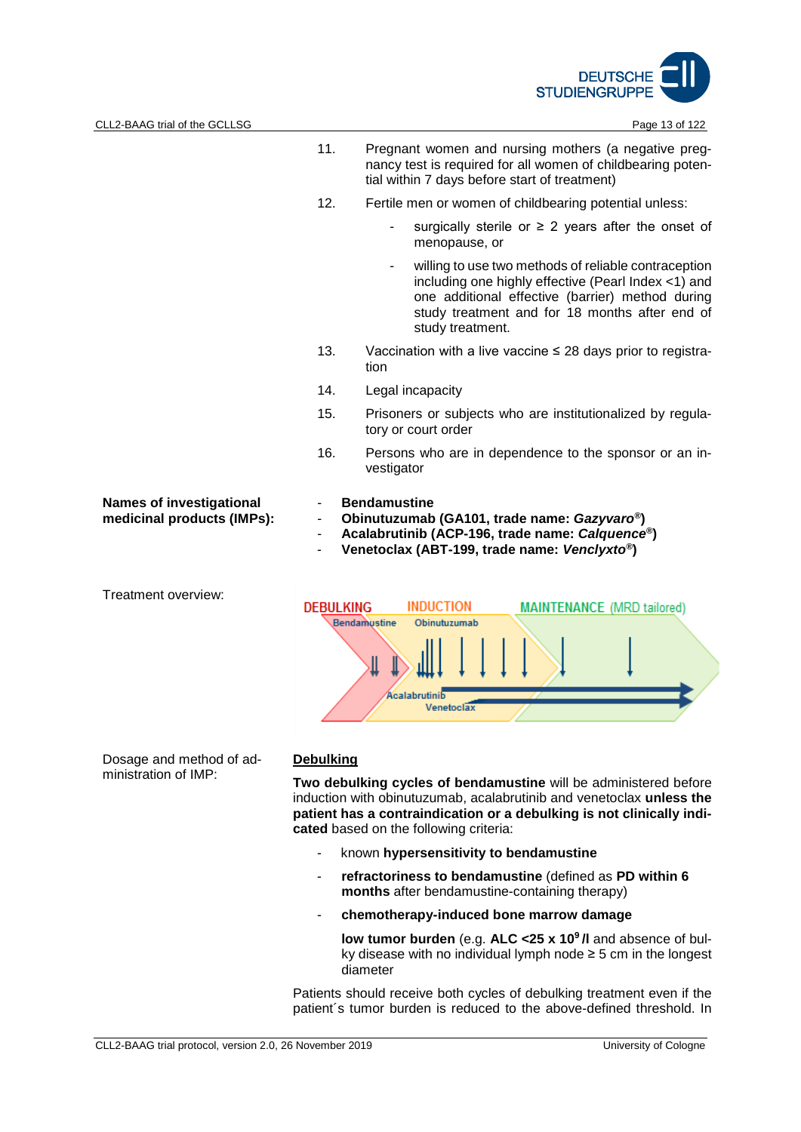

- 11. Pregnant women and nursing mothers (a negative pregnancy test is required for all women of childbearing potential within 7 days before start of treatment)
- 12. Fertile men or women of childbearing potential unless:
	- surgically sterile or  $\geq$  2 years after the onset of menopause, or
	- willing to use two methods of reliable contraception including one highly effective (Pearl Index <1) and one additional effective (barrier) method during study treatment and for 18 months after end of study treatment.
- 13. Vaccination with a live vaccine ≤ 28 days prior to registration
- 14. Legal incapacity
- 15. Prisoners or subjects who are institutionalized by regulatory or court order
- 16. Persons who are in dependence to the sponsor or an investigator

#### **Names of investigational medicinal products (IMPs):**

Treatment overview:

- **Bendamustine**
- **Obinutuzumab (GA101, trade name:** *Gazyvaro®***)**
- **Acalabrutinib (ACP-196, trade name:** *Calquence®***)**
- **Venetoclax (ABT-199, trade name:** *Venclyxto®***)**



Dosage and method of administration of IMP:

# **Debulking**

**Two debulking cycles of bendamustine** will be administered before induction with obinutuzumab, acalabrutinib and venetoclax **unless the patient has a contraindication or a debulking is not clinically indicated** based on the following criteria:

- known **hypersensitivity to bendamustine**
- **refractoriness to bendamustine** (defined as **PD within 6 months** after bendamustine-containing therapy)
- **chemotherapy-induced bone marrow damage**

**low tumor burden** (e.g. **ALC <25 x 109 /l** and absence of bulky disease with no individual lymph node ≥ 5 cm in the longest diameter

Patients should receive both cycles of debulking treatment even if the patient´s tumor burden is reduced to the above-defined threshold. In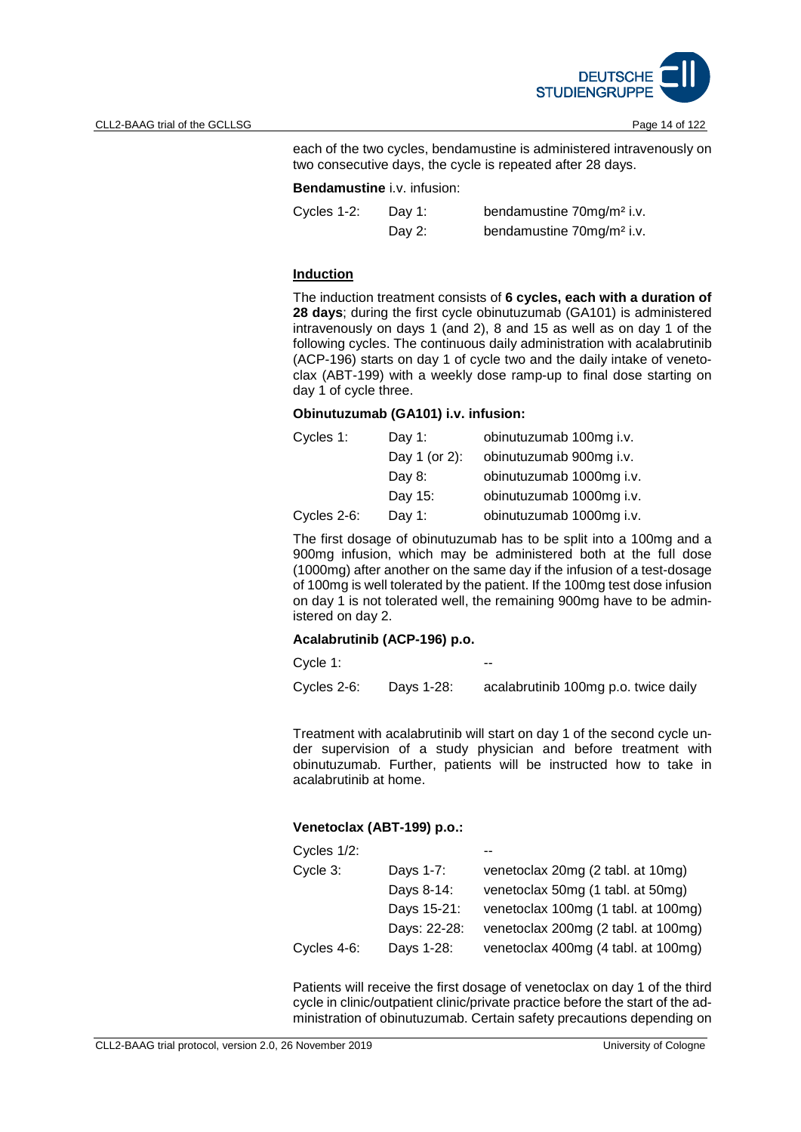

each of the two cycles, bendamustine is administered intravenously on two consecutive days, the cycle is repeated after 28 days.

## **Bendamustine** i.v. infusion:

| Cycles 1-2: | Day 1: | bendamustine 70mg/m <sup>2</sup> i.v. |
|-------------|--------|---------------------------------------|
|             | Day 2: | bendamustine 70mg/m <sup>2</sup> i.v. |

#### **Induction**

The induction treatment consists of **6 cycles, each with a duration of 28 days**; during the first cycle obinutuzumab (GA101) is administered intravenously on days 1 (and 2), 8 and 15 as well as on day 1 of the following cycles. The continuous daily administration with acalabrutinib (ACP-196) starts on day 1 of cycle two and the daily intake of venetoclax (ABT-199) with a weekly dose ramp-up to final dose starting on day 1 of cycle three.

#### **Obinutuzumab (GA101) i.v. infusion:**

| Cycles 1:   | Day 1:        | obinutuzumab 100mg i.v.  |
|-------------|---------------|--------------------------|
|             | Day 1 (or 2): | obinutuzumab 900mg i.v.  |
|             | Day $8:$      | obinutuzumab 1000mg i.v. |
|             | Day 15:       | obinutuzumab 1000mg i.v. |
| Cycles 2-6: | Day 1:        | obinutuzumab 1000mg i.v. |

The first dosage of obinutuzumab has to be split into a 100mg and a 900mg infusion, which may be administered both at the full dose (1000mg) after another on the same day if the infusion of a test-dosage of 100mg is well tolerated by the patient. If the 100mg test dose infusion on day 1 is not tolerated well, the remaining 900mg have to be administered on day 2.

# **Acalabrutinib (ACP-196) p.o.**

Cycle 1:

Cycles 2-6: Days 1-28: acalabrutinib 100mg p.o. twice daily

Treatment with acalabrutinib will start on day 1 of the second cycle under supervision of a study physician and before treatment with obinutuzumab. Further, patients will be instructed how to take in acalabrutinib at home.

# **Venetoclax (ABT-199) p.o.:**

| Cycles 1/2: |              |                                     |
|-------------|--------------|-------------------------------------|
| Cycle 3:    | Days 1-7:    | venetoclax 20mg (2 tabl. at 10mg)   |
|             | Days 8-14:   | venetoclax 50mg (1 tabl. at 50mg)   |
|             | Days 15-21:  | venetoclax 100mg (1 tabl. at 100mg) |
|             | Days: 22-28: | venetoclax 200mg (2 tabl. at 100mg) |
| Cycles 4-6: | Days 1-28:   | venetoclax 400mg (4 tabl. at 100mg) |

Patients will receive the first dosage of venetoclax on day 1 of the third cycle in clinic/outpatient clinic/private practice before the start of the administration of obinutuzumab. Certain safety precautions depending on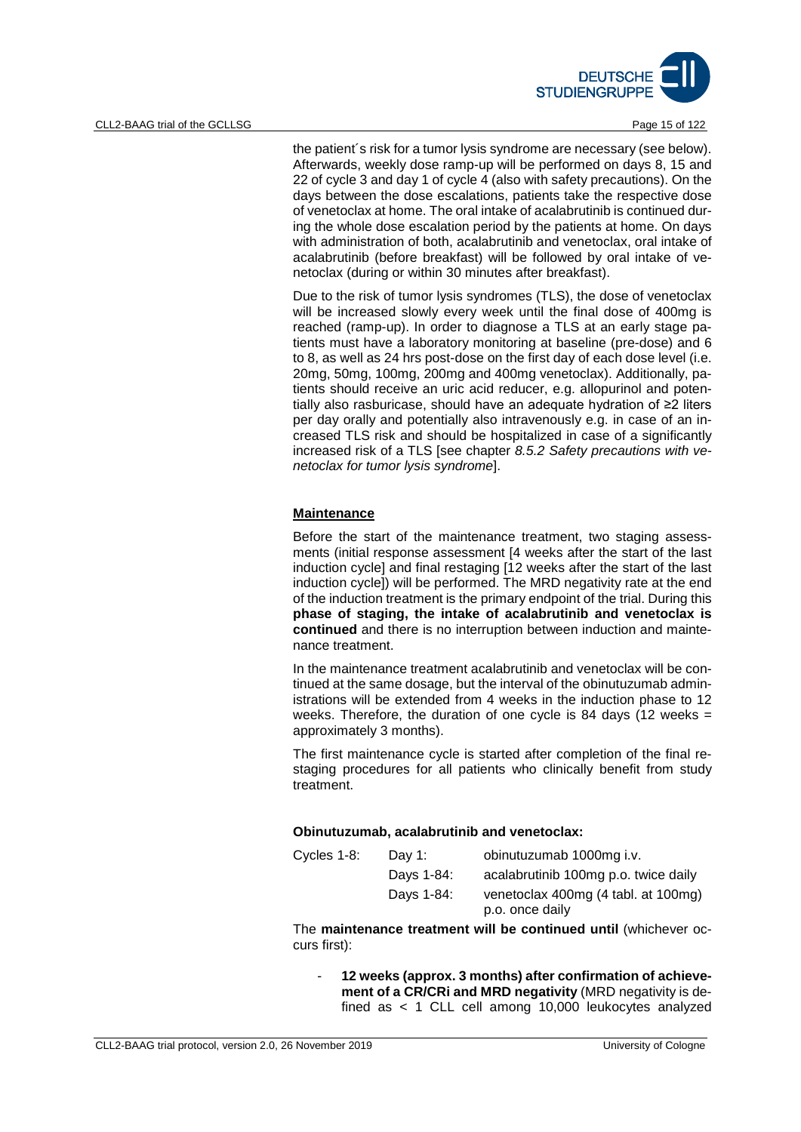

the patient´s risk for a tumor lysis syndrome are necessary (see below). Afterwards, weekly dose ramp-up will be performed on days 8, 15 and 22 of cycle 3 and day 1 of cycle 4 (also with safety precautions). On the days between the dose escalations, patients take the respective dose of venetoclax at home. The oral intake of acalabrutinib is continued during the whole dose escalation period by the patients at home. On days with administration of both, acalabrutinib and venetoclax, oral intake of acalabrutinib (before breakfast) will be followed by oral intake of venetoclax (during or within 30 minutes after breakfast).

Due to the risk of tumor lysis syndromes (TLS), the dose of venetoclax will be increased slowly every week until the final dose of 400mg is reached (ramp-up). In order to diagnose a TLS at an early stage patients must have a laboratory monitoring at baseline (pre-dose) and 6 to 8, as well as 24 hrs post-dose on the first day of each dose level (i.e. 20mg, 50mg, 100mg, 200mg and 400mg venetoclax). Additionally, patients should receive an uric acid reducer, e.g. allopurinol and potentially also rasburicase, should have an adequate hydration of ≥2 liters per day orally and potentially also intravenously e.g. in case of an increased TLS risk and should be hospitalized in case of a significantly increased risk of a TLS [see chapter *8.5.2 Safety precautions with venetoclax for tumor lysis syndrome*].

## **Maintenance**

Before the start of the maintenance treatment, two staging assessments (initial response assessment [4 weeks after the start of the last induction cycle] and final restaging [12 weeks after the start of the last induction cycle]) will be performed. The MRD negativity rate at the end of the induction treatment is the primary endpoint of the trial. During this **phase of staging, the intake of acalabrutinib and venetoclax is continued** and there is no interruption between induction and maintenance treatment.

In the maintenance treatment acalabrutinib and venetoclax will be continued at the same dosage, but the interval of the obinutuzumab administrations will be extended from 4 weeks in the induction phase to 12 weeks. Therefore, the duration of one cycle is 84 days (12 weeks  $=$ approximately 3 months).

The first maintenance cycle is started after completion of the final restaging procedures for all patients who clinically benefit from study treatment.

#### **Obinutuzumab, acalabrutinib and venetoclax:**

| Cycles 1-8: | Day 1:     | obinutuzumab 1000mg i.v.             |  |
|-------------|------------|--------------------------------------|--|
|             | Days 1-84: | acalabrutinib 100mg p.o. twice daily |  |
|             | Days 1-84: | venetoclax 400mg (4 tabl. at 100mg)  |  |
|             |            | p.o. once daily                      |  |

The **maintenance treatment will be continued until** (whichever occurs first):

- **12 weeks (approx. 3 months) after confirmation of achievement of a CR/CRi and MRD negativity** (MRD negativity is defined as < 1 CLL cell among 10,000 leukocytes analyzed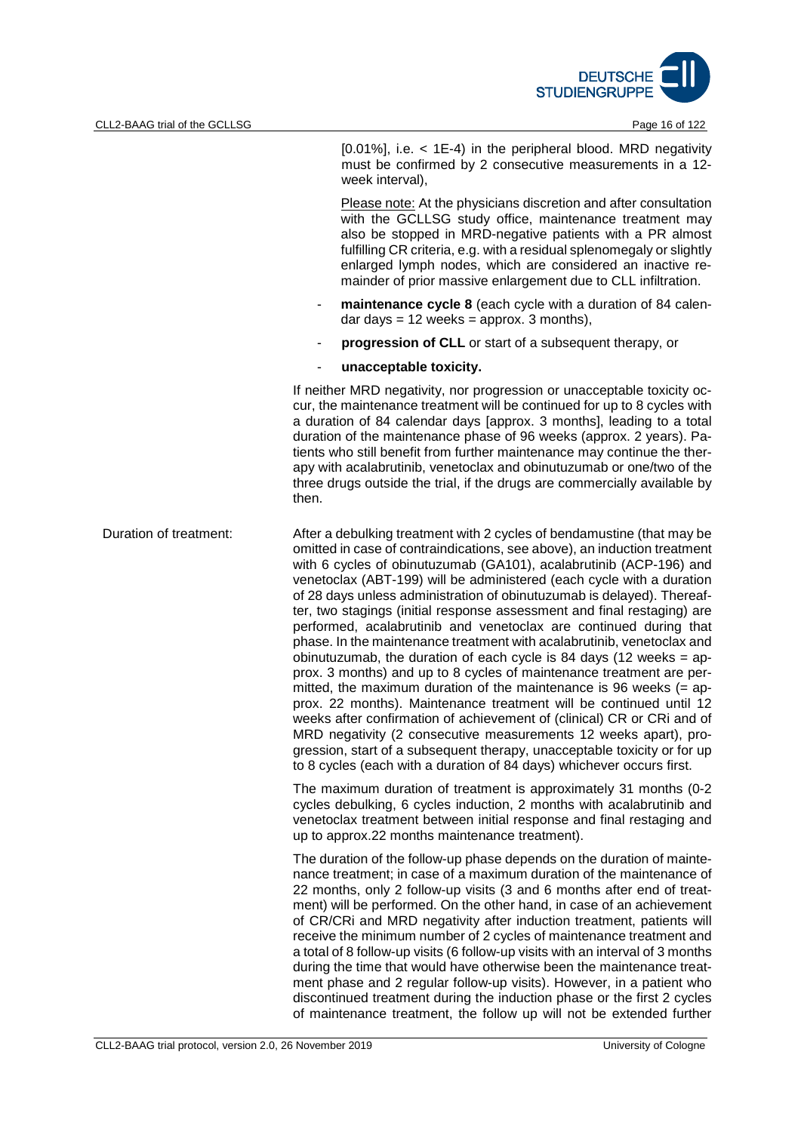

[0.01%], i.e. < 1E-4) in the peripheral blood. MRD negativity must be confirmed by 2 consecutive measurements in a 12 week interval),

Please note: At the physicians discretion and after consultation with the GCLLSG study office, maintenance treatment may also be stopped in MRD-negative patients with a PR almost fulfilling CR criteria, e.g. with a residual splenomegaly or slightly enlarged lymph nodes, which are considered an inactive remainder of prior massive enlargement due to CLL infiltration.

- **maintenance cycle 8** (each cycle with a duration of 84 calendar days  $= 12$  weeks  $=$  approx. 3 months),
- **progression of CLL** or start of a subsequent therapy, or
- **unacceptable toxicity.**

If neither MRD negativity, nor progression or unacceptable toxicity occur, the maintenance treatment will be continued for up to 8 cycles with a duration of 84 calendar days [approx. 3 months], leading to a total duration of the maintenance phase of 96 weeks (approx. 2 years). Patients who still benefit from further maintenance may continue the therapy with acalabrutinib, venetoclax and obinutuzumab or one/two of the three drugs outside the trial, if the drugs are commercially available by then.

Duration of treatment: After a debulking treatment with 2 cycles of bendamustine (that may be omitted in case of contraindications, see above), an induction treatment with 6 cycles of obinutuzumab (GA101), acalabrutinib (ACP-196) and venetoclax (ABT-199) will be administered (each cycle with a duration of 28 days unless administration of obinutuzumab is delayed). Thereafter, two stagings (initial response assessment and final restaging) are performed, acalabrutinib and venetoclax are continued during that phase. In the maintenance treatment with acalabrutinib, venetoclax and obinutuzumab, the duration of each cycle is 84 days (12 weeks = approx. 3 months) and up to 8 cycles of maintenance treatment are permitted, the maximum duration of the maintenance is 96 weeks  $(=$  approx. 22 months). Maintenance treatment will be continued until 12 weeks after confirmation of achievement of (clinical) CR or CRi and of MRD negativity (2 consecutive measurements 12 weeks apart), progression, start of a subsequent therapy, unacceptable toxicity or for up to 8 cycles (each with a duration of 84 days) whichever occurs first. The maximum duration of treatment is approximately 31 months (0-2

cycles debulking, 6 cycles induction, 2 months with acalabrutinib and venetoclax treatment between initial response and final restaging and up to approx.22 months maintenance treatment).

The duration of the follow-up phase depends on the duration of maintenance treatment; in case of a maximum duration of the maintenance of 22 months, only 2 follow-up visits (3 and 6 months after end of treatment) will be performed. On the other hand, in case of an achievement of CR/CRi and MRD negativity after induction treatment, patients will receive the minimum number of 2 cycles of maintenance treatment and a total of 8 follow-up visits (6 follow-up visits with an interval of 3 months during the time that would have otherwise been the maintenance treatment phase and 2 regular follow-up visits). However, in a patient who discontinued treatment during the induction phase or the first 2 cycles of maintenance treatment, the follow up will not be extended further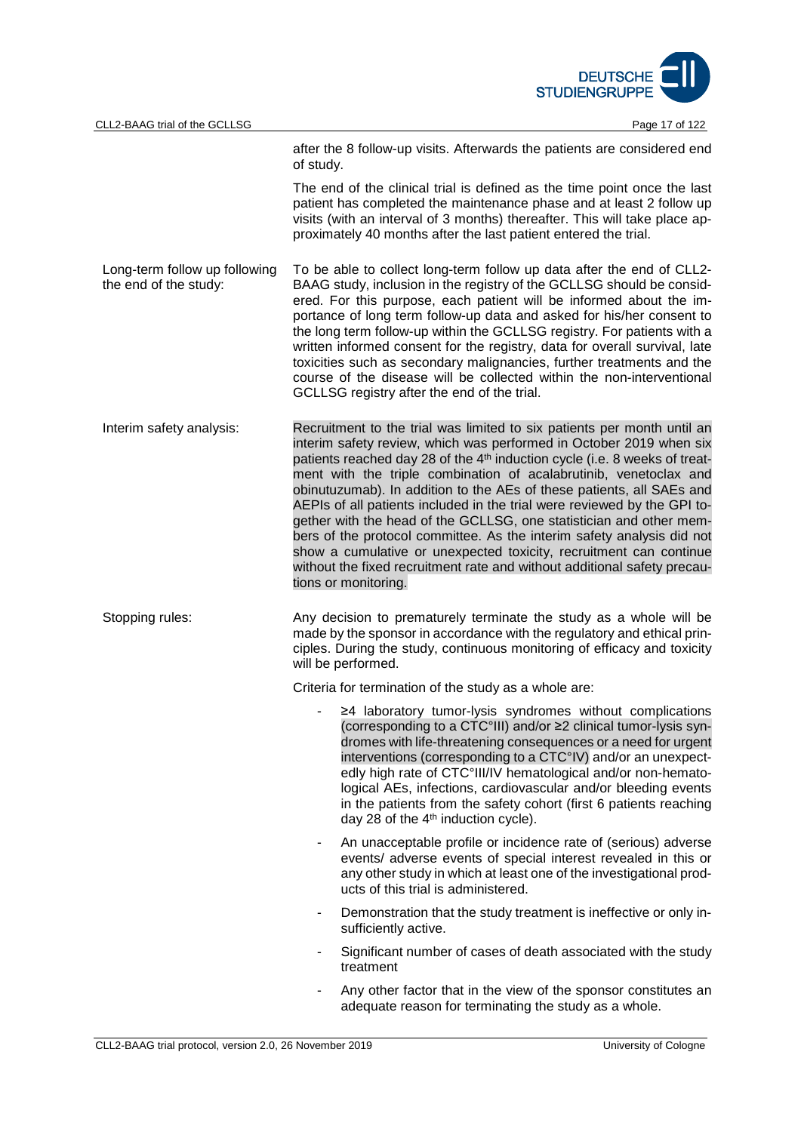

|                                                        | after the 8 follow-up visits. Afterwards the patients are considered end<br>of study.                                                                                                                                                                                                                                                                                                                                                                                                                                                                                                                                                                                                                                                                                                         |  |  |
|--------------------------------------------------------|-----------------------------------------------------------------------------------------------------------------------------------------------------------------------------------------------------------------------------------------------------------------------------------------------------------------------------------------------------------------------------------------------------------------------------------------------------------------------------------------------------------------------------------------------------------------------------------------------------------------------------------------------------------------------------------------------------------------------------------------------------------------------------------------------|--|--|
|                                                        | The end of the clinical trial is defined as the time point once the last<br>patient has completed the maintenance phase and at least 2 follow up<br>visits (with an interval of 3 months) thereafter. This will take place ap-<br>proximately 40 months after the last patient entered the trial.                                                                                                                                                                                                                                                                                                                                                                                                                                                                                             |  |  |
| Long-term follow up following<br>the end of the study: | To be able to collect long-term follow up data after the end of CLL2-<br>BAAG study, inclusion in the registry of the GCLLSG should be consid-<br>ered. For this purpose, each patient will be informed about the im-<br>portance of long term follow-up data and asked for his/her consent to<br>the long term follow-up within the GCLLSG registry. For patients with a<br>written informed consent for the registry, data for overall survival, late<br>toxicities such as secondary malignancies, further treatments and the<br>course of the disease will be collected within the non-interventional<br>GCLLSG registry after the end of the trial.                                                                                                                                      |  |  |
| Interim safety analysis:                               | Recruitment to the trial was limited to six patients per month until an<br>interim safety review, which was performed in October 2019 when six<br>patients reached day 28 of the 4 <sup>th</sup> induction cycle (i.e. 8 weeks of treat-<br>ment with the triple combination of acalabrutinib, venetoclax and<br>obinutuzumab). In addition to the AEs of these patients, all SAEs and<br>AEPIs of all patients included in the trial were reviewed by the GPI to-<br>gether with the head of the GCLLSG, one statistician and other mem-<br>bers of the protocol committee. As the interim safety analysis did not<br>show a cumulative or unexpected toxicity, recruitment can continue<br>without the fixed recruitment rate and without additional safety precau-<br>tions or monitoring. |  |  |
| Stopping rules:                                        | Any decision to prematurely terminate the study as a whole will be<br>made by the sponsor in accordance with the regulatory and ethical prin-<br>ciples. During the study, continuous monitoring of efficacy and toxicity<br>will be performed.                                                                                                                                                                                                                                                                                                                                                                                                                                                                                                                                               |  |  |
|                                                        | Criteria for termination of the study as a whole are:                                                                                                                                                                                                                                                                                                                                                                                                                                                                                                                                                                                                                                                                                                                                         |  |  |
|                                                        | $\geq$ 4 laboratory tumor-lysis syndromes without complications<br>(corresponding to a CTC°III) and/or ≥2 clinical tumor-lysis syn-<br>dromes with life-threatening consequences or a need for urgent<br>interventions (corresponding to a CTC°IV) and/or an unexpect-<br>edly high rate of CTC°III/IV hematological and/or non-hemato-<br>logical AEs, infections, cardiovascular and/or bleeding events<br>in the patients from the safety cohort (first 6 patients reaching<br>day 28 of the 4 <sup>th</sup> induction cycle).                                                                                                                                                                                                                                                             |  |  |
|                                                        | An unacceptable profile or incidence rate of (serious) adverse<br>۰<br>events/ adverse events of special interest revealed in this or<br>any other study in which at least one of the investigational prod-<br>ucts of this trial is administered.                                                                                                                                                                                                                                                                                                                                                                                                                                                                                                                                            |  |  |
|                                                        | Demonstration that the study treatment is ineffective or only in-<br>-<br>sufficiently active.                                                                                                                                                                                                                                                                                                                                                                                                                                                                                                                                                                                                                                                                                                |  |  |
|                                                        | Significant number of cases of death associated with the study<br>treatment                                                                                                                                                                                                                                                                                                                                                                                                                                                                                                                                                                                                                                                                                                                   |  |  |
|                                                        | Any other factor that in the view of the sponsor constitutes an<br>adequate reason for terminating the study as a whole.                                                                                                                                                                                                                                                                                                                                                                                                                                                                                                                                                                                                                                                                      |  |  |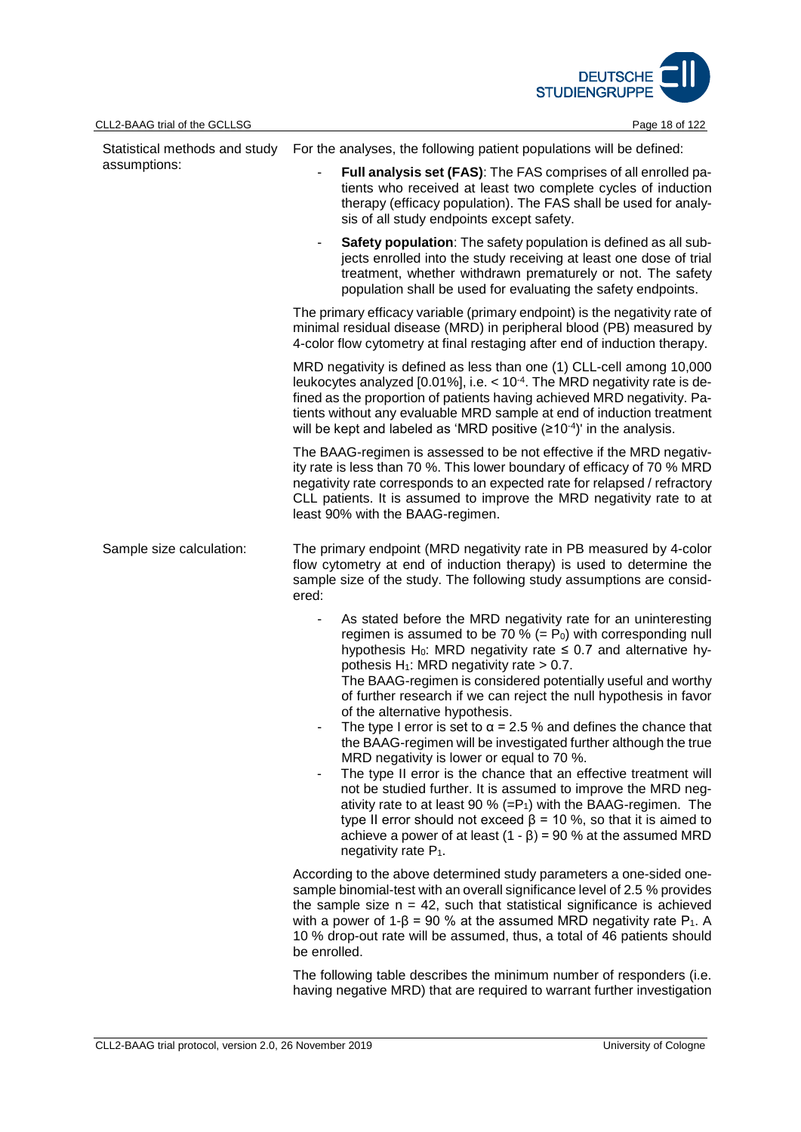

|                          | Statistical methods and study For the analyses, the following patient populations will be defined:                                                                                                                                                                                                                                                                                                                                                                                                                                                                                                                                                                                                                                                                                                                                                                                                                                                                                                                                                       |  |  |
|--------------------------|----------------------------------------------------------------------------------------------------------------------------------------------------------------------------------------------------------------------------------------------------------------------------------------------------------------------------------------------------------------------------------------------------------------------------------------------------------------------------------------------------------------------------------------------------------------------------------------------------------------------------------------------------------------------------------------------------------------------------------------------------------------------------------------------------------------------------------------------------------------------------------------------------------------------------------------------------------------------------------------------------------------------------------------------------------|--|--|
| assumptions:             | Full analysis set (FAS): The FAS comprises of all enrolled pa-<br>tients who received at least two complete cycles of induction<br>therapy (efficacy population). The FAS shall be used for analy-<br>sis of all study endpoints except safety.                                                                                                                                                                                                                                                                                                                                                                                                                                                                                                                                                                                                                                                                                                                                                                                                          |  |  |
|                          | Safety population: The safety population is defined as all sub-<br>۰<br>jects enrolled into the study receiving at least one dose of trial<br>treatment, whether withdrawn prematurely or not. The safety<br>population shall be used for evaluating the safety endpoints.                                                                                                                                                                                                                                                                                                                                                                                                                                                                                                                                                                                                                                                                                                                                                                               |  |  |
|                          | The primary efficacy variable (primary endpoint) is the negativity rate of<br>minimal residual disease (MRD) in peripheral blood (PB) measured by<br>4-color flow cytometry at final restaging after end of induction therapy.                                                                                                                                                                                                                                                                                                                                                                                                                                                                                                                                                                                                                                                                                                                                                                                                                           |  |  |
|                          | MRD negativity is defined as less than one (1) CLL-cell among 10,000<br>leukocytes analyzed [0.01%], i.e. $<$ 10 <sup>-4</sup> . The MRD negativity rate is de-<br>fined as the proportion of patients having achieved MRD negativity. Pa-<br>tients without any evaluable MRD sample at end of induction treatment<br>will be kept and labeled as 'MRD positive $(210^{-4})'$ in the analysis.                                                                                                                                                                                                                                                                                                                                                                                                                                                                                                                                                                                                                                                          |  |  |
|                          | The BAAG-regimen is assessed to be not effective if the MRD negativ-<br>ity rate is less than 70 %. This lower boundary of efficacy of 70 % MRD<br>negativity rate corresponds to an expected rate for relapsed / refractory<br>CLL patients. It is assumed to improve the MRD negativity rate to at<br>least 90% with the BAAG-regimen.                                                                                                                                                                                                                                                                                                                                                                                                                                                                                                                                                                                                                                                                                                                 |  |  |
| Sample size calculation: | The primary endpoint (MRD negativity rate in PB measured by 4-color<br>flow cytometry at end of induction therapy) is used to determine the<br>sample size of the study. The following study assumptions are consid-<br>ered:                                                                                                                                                                                                                                                                                                                                                                                                                                                                                                                                                                                                                                                                                                                                                                                                                            |  |  |
|                          | As stated before the MRD negativity rate for an uninteresting<br>regimen is assumed to be 70 % (= $P_0$ ) with corresponding null<br>hypothesis H <sub>0</sub> : MRD negativity rate $\leq$ 0.7 and alternative hy-<br>pothesis $H_1$ : MRD negativity rate > 0.7.<br>The BAAG-regimen is considered potentially useful and worthy<br>of further research if we can reject the null hypothesis in favor<br>of the alternative hypothesis.<br>The type I error is set to $\alpha$ = 2.5 % and defines the chance that<br>the BAAG-regimen will be investigated further although the true<br>MRD negativity is lower or equal to 70 %.<br>The type II error is the chance that an effective treatment will<br>$\overline{\phantom{a}}$<br>not be studied further. It is assumed to improve the MRD neg-<br>ativity rate to at least 90 % (= $P_1$ ) with the BAAG-regimen. The<br>type II error should not exceed $\beta$ = 10 %, so that it is aimed to<br>achieve a power of at least $(1 - \beta) = 90$ % at the assumed MRD<br>negativity rate $P_1$ . |  |  |
|                          | According to the above determined study parameters a one-sided one-<br>sample binomial-test with an overall significance level of 2.5 % provides<br>the sample size $n = 42$ , such that statistical significance is achieved<br>with a power of $1-\beta = 90$ % at the assumed MRD negativity rate P <sub>1</sub> . A<br>10 % drop-out rate will be assumed, thus, a total of 46 patients should<br>be enrolled.                                                                                                                                                                                                                                                                                                                                                                                                                                                                                                                                                                                                                                       |  |  |
|                          | The following table describes the minimum number of responders (i.e.                                                                                                                                                                                                                                                                                                                                                                                                                                                                                                                                                                                                                                                                                                                                                                                                                                                                                                                                                                                     |  |  |

having negative MRD) that are required to warrant further investigation